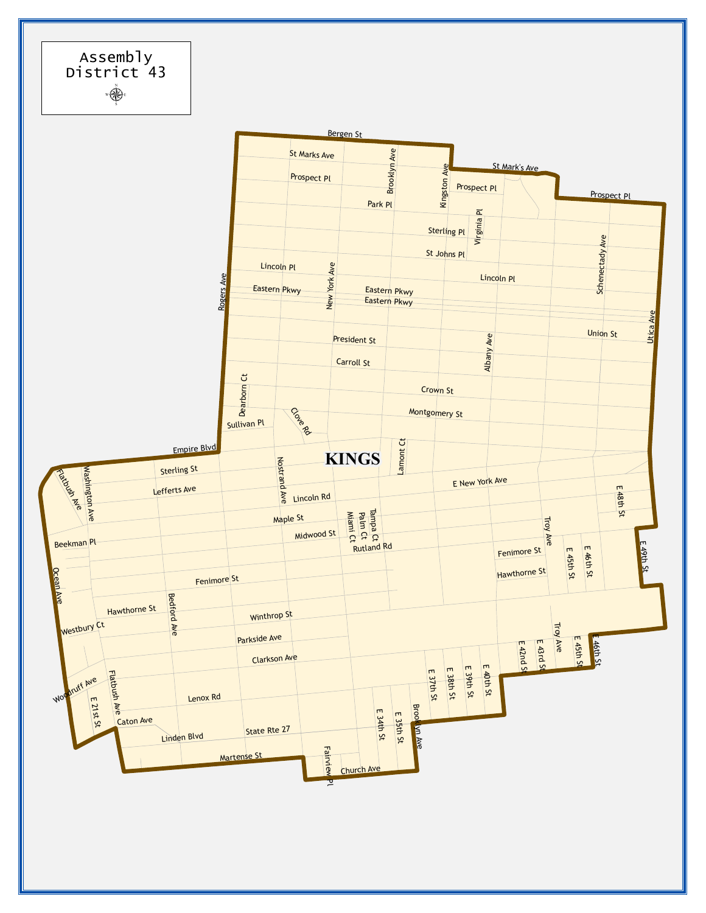